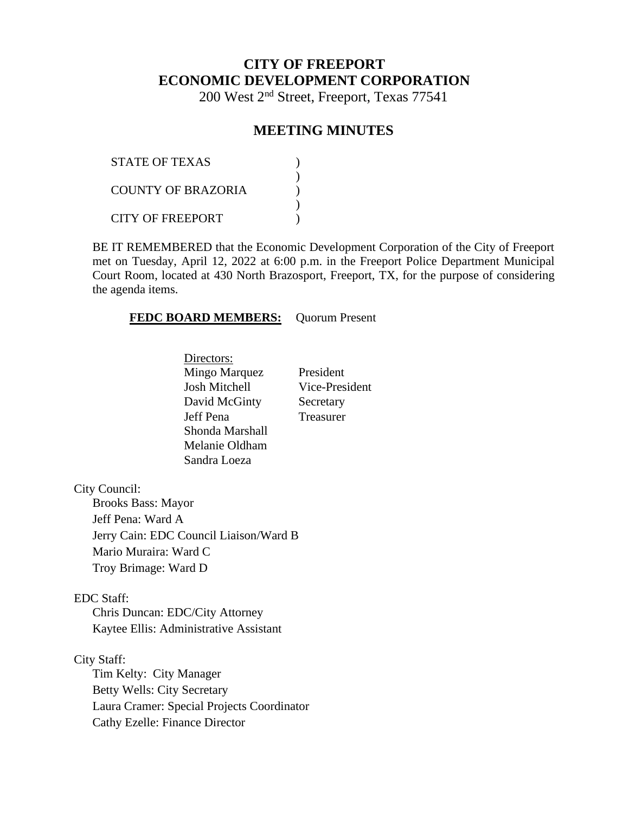# **CITY OF FREEPORT ECONOMIC DEVELOPMENT CORPORATION**

200 West 2nd Street, Freeport, Texas 77541

### **MEETING MINUTES**

| <b>STATE OF TEXAS</b> |  |
|-----------------------|--|
| COUNTY OF BRAZORIA    |  |
| CITY OF FREEPORT      |  |

BE IT REMEMBERED that the Economic Development Corporation of the City of Freeport met on Tuesday, April 12, 2022 at 6:00 p.m. in the Freeport Police Department Municipal Court Room, located at 430 North Brazosport, Freeport, TX, for the purpose of considering the agenda items.

#### **FEDC BOARD MEMBERS:** Quorum Present

Directors: Mingo Marquez President Josh Mitchell Vice-President David McGinty Secretary Jeff Pena Treasurer Shonda Marshall Melanie Oldham Sandra Loeza

City Council:

Brooks Bass: Mayor Jeff Pena: Ward A Jerry Cain: EDC Council Liaison/Ward B Mario Muraira: Ward C Troy Brimage: Ward D

### EDC Staff:

Chris Duncan: EDC/City Attorney Kaytee Ellis: Administrative Assistant

City Staff:

Tim Kelty: City Manager Betty Wells: City Secretary Laura Cramer: Special Projects Coordinator Cathy Ezelle: Finance Director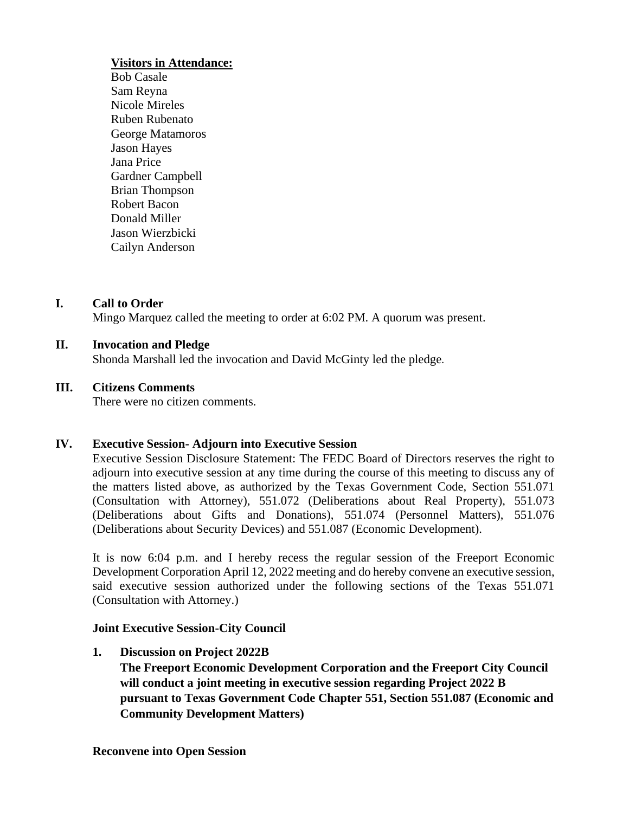### **Visitors in Attendance:**

Bob Casale Sam Reyna Nicole Mireles Ruben Rubenato George Matamoros Jason Hayes Jana Price Gardner Campbell Brian Thompson Robert Bacon Donald Miller Jason Wierzbicki Cailyn Anderson

## **I. Call to Order**

Mingo Marquez called the meeting to order at 6:02 PM. A quorum was present.

## **II. Invocation and Pledge**

Shonda Marshall led the invocation and David McGinty led the pledge.

### **III. Citizens Comments**

There were no citizen comments.

### **IV. Executive Session- Adjourn into Executive Session**

Executive Session Disclosure Statement: The FEDC Board of Directors reserves the right to adjourn into executive session at any time during the course of this meeting to discuss any of the matters listed above, as authorized by the Texas Government Code, Section 551.071 (Consultation with Attorney), 551.072 (Deliberations about Real Property), 551.073 (Deliberations about Gifts and Donations), 551.074 (Personnel Matters), 551.076 (Deliberations about Security Devices) and 551.087 (Economic Development).

It is now 6:04 p.m. and I hereby recess the regular session of the Freeport Economic Development Corporation April 12, 2022 meeting and do hereby convene an executive session, said executive session authorized under the following sections of the Texas 551.071 (Consultation with Attorney.)

### **Joint Executive Session-City Council**

**1. Discussion on Project 2022B** 

**The Freeport Economic Development Corporation and the Freeport City Council will conduct a joint meeting in executive session regarding Project 2022 B pursuant to Texas Government Code Chapter 551, Section 551.087 (Economic and Community Development Matters)**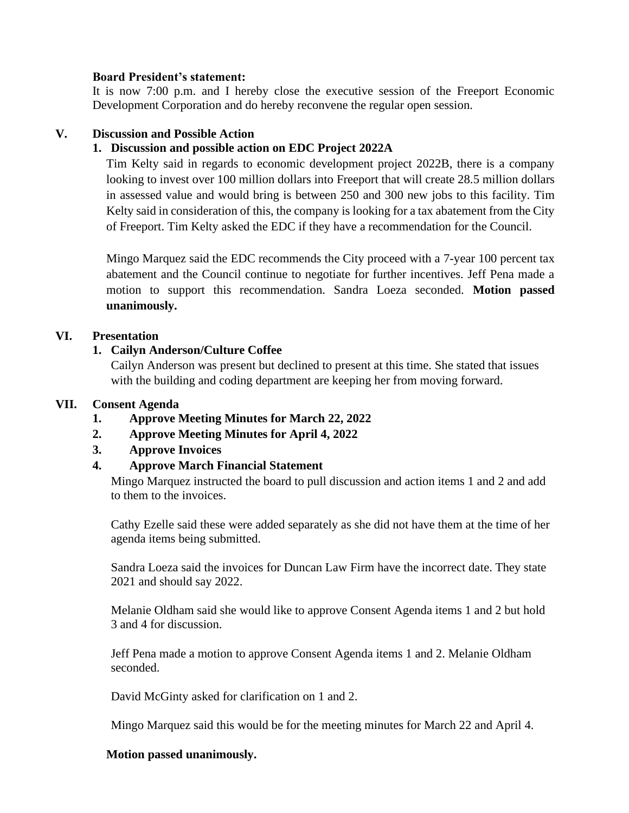### **Board President's statement:**

It is now 7:00 p.m. and I hereby close the executive session of the Freeport Economic Development Corporation and do hereby reconvene the regular open session.

### **V. Discussion and Possible Action**

### **1. Discussion and possible action on EDC Project 2022A**

Tim Kelty said in regards to economic development project 2022B, there is a company looking to invest over 100 million dollars into Freeport that will create 28.5 million dollars in assessed value and would bring is between 250 and 300 new jobs to this facility. Tim Kelty said in consideration of this, the company is looking for a tax abatement from the City of Freeport. Tim Kelty asked the EDC if they have a recommendation for the Council.

Mingo Marquez said the EDC recommends the City proceed with a 7-year 100 percent tax abatement and the Council continue to negotiate for further incentives. Jeff Pena made a motion to support this recommendation. Sandra Loeza seconded. **Motion passed unanimously.**

### **VI. Presentation**

### **1. Cailyn Anderson/Culture Coffee**

Cailyn Anderson was present but declined to present at this time. She stated that issues with the building and coding department are keeping her from moving forward.

### **VII. Consent Agenda**

- **1. Approve Meeting Minutes for March 22, 2022**
- **2. Approve Meeting Minutes for April 4, 2022**
- **3. Approve Invoices**

## **4. Approve March Financial Statement**

Mingo Marquez instructed the board to pull discussion and action items 1 and 2 and add to them to the invoices.

Cathy Ezelle said these were added separately as she did not have them at the time of her agenda items being submitted.

Sandra Loeza said the invoices for Duncan Law Firm have the incorrect date. They state 2021 and should say 2022.

Melanie Oldham said she would like to approve Consent Agenda items 1 and 2 but hold 3 and 4 for discussion.

Jeff Pena made a motion to approve Consent Agenda items 1 and 2. Melanie Oldham seconded.

David McGinty asked for clarification on 1 and 2.

Mingo Marquez said this would be for the meeting minutes for March 22 and April 4.

### **Motion passed unanimously.**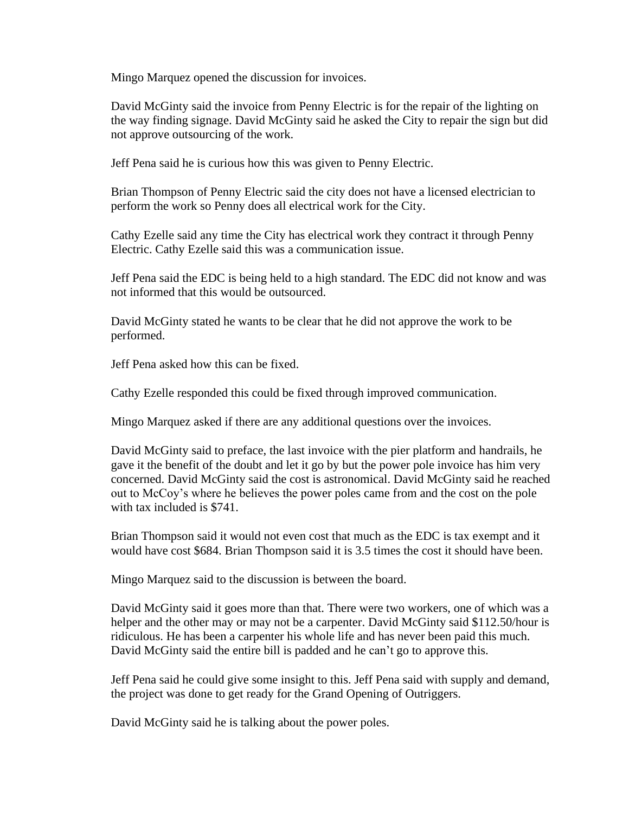Mingo Marquez opened the discussion for invoices.

David McGinty said the invoice from Penny Electric is for the repair of the lighting on the way finding signage. David McGinty said he asked the City to repair the sign but did not approve outsourcing of the work.

Jeff Pena said he is curious how this was given to Penny Electric.

Brian Thompson of Penny Electric said the city does not have a licensed electrician to perform the work so Penny does all electrical work for the City.

Cathy Ezelle said any time the City has electrical work they contract it through Penny Electric. Cathy Ezelle said this was a communication issue.

Jeff Pena said the EDC is being held to a high standard. The EDC did not know and was not informed that this would be outsourced.

David McGinty stated he wants to be clear that he did not approve the work to be performed.

Jeff Pena asked how this can be fixed.

Cathy Ezelle responded this could be fixed through improved communication.

Mingo Marquez asked if there are any additional questions over the invoices.

David McGinty said to preface, the last invoice with the pier platform and handrails, he gave it the benefit of the doubt and let it go by but the power pole invoice has him very concerned. David McGinty said the cost is astronomical. David McGinty said he reached out to McCoy's where he believes the power poles came from and the cost on the pole with tax included is \$741.

Brian Thompson said it would not even cost that much as the EDC is tax exempt and it would have cost \$684. Brian Thompson said it is 3.5 times the cost it should have been.

Mingo Marquez said to the discussion is between the board.

David McGinty said it goes more than that. There were two workers, one of which was a helper and the other may or may not be a carpenter. David McGinty said \$112.50/hour is ridiculous. He has been a carpenter his whole life and has never been paid this much. David McGinty said the entire bill is padded and he can't go to approve this.

Jeff Pena said he could give some insight to this. Jeff Pena said with supply and demand, the project was done to get ready for the Grand Opening of Outriggers.

David McGinty said he is talking about the power poles.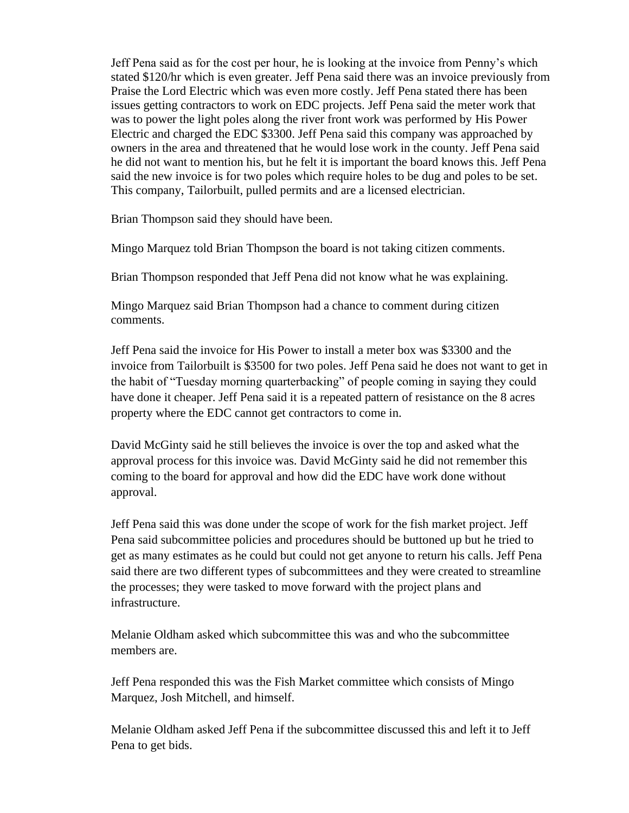Jeff Pena said as for the cost per hour, he is looking at the invoice from Penny's which stated \$120/hr which is even greater. Jeff Pena said there was an invoice previously from Praise the Lord Electric which was even more costly. Jeff Pena stated there has been issues getting contractors to work on EDC projects. Jeff Pena said the meter work that was to power the light poles along the river front work was performed by His Power Electric and charged the EDC \$3300. Jeff Pena said this company was approached by owners in the area and threatened that he would lose work in the county. Jeff Pena said he did not want to mention his, but he felt it is important the board knows this. Jeff Pena said the new invoice is for two poles which require holes to be dug and poles to be set. This company, Tailorbuilt, pulled permits and are a licensed electrician.

Brian Thompson said they should have been.

Mingo Marquez told Brian Thompson the board is not taking citizen comments.

Brian Thompson responded that Jeff Pena did not know what he was explaining.

Mingo Marquez said Brian Thompson had a chance to comment during citizen comments.

Jeff Pena said the invoice for His Power to install a meter box was \$3300 and the invoice from Tailorbuilt is \$3500 for two poles. Jeff Pena said he does not want to get in the habit of "Tuesday morning quarterbacking" of people coming in saying they could have done it cheaper. Jeff Pena said it is a repeated pattern of resistance on the 8 acres property where the EDC cannot get contractors to come in.

David McGinty said he still believes the invoice is over the top and asked what the approval process for this invoice was. David McGinty said he did not remember this coming to the board for approval and how did the EDC have work done without approval.

Jeff Pena said this was done under the scope of work for the fish market project. Jeff Pena said subcommittee policies and procedures should be buttoned up but he tried to get as many estimates as he could but could not get anyone to return his calls. Jeff Pena said there are two different types of subcommittees and they were created to streamline the processes; they were tasked to move forward with the project plans and infrastructure.

Melanie Oldham asked which subcommittee this was and who the subcommittee members are.

Jeff Pena responded this was the Fish Market committee which consists of Mingo Marquez, Josh Mitchell, and himself.

Melanie Oldham asked Jeff Pena if the subcommittee discussed this and left it to Jeff Pena to get bids.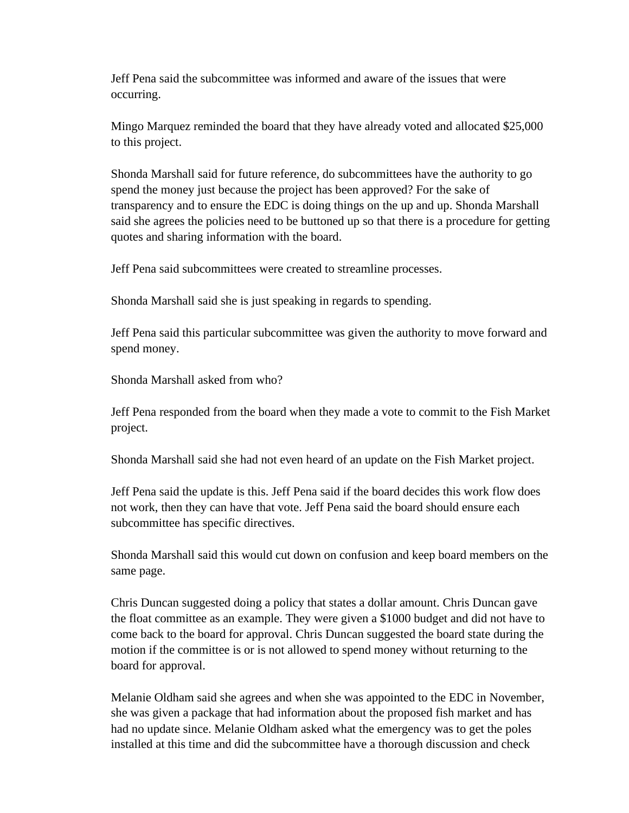Jeff Pena said the subcommittee was informed and aware of the issues that were occurring.

Mingo Marquez reminded the board that they have already voted and allocated \$25,000 to this project.

Shonda Marshall said for future reference, do subcommittees have the authority to go spend the money just because the project has been approved? For the sake of transparency and to ensure the EDC is doing things on the up and up. Shonda Marshall said she agrees the policies need to be buttoned up so that there is a procedure for getting quotes and sharing information with the board.

Jeff Pena said subcommittees were created to streamline processes.

Shonda Marshall said she is just speaking in regards to spending.

Jeff Pena said this particular subcommittee was given the authority to move forward and spend money.

Shonda Marshall asked from who?

Jeff Pena responded from the board when they made a vote to commit to the Fish Market project.

Shonda Marshall said she had not even heard of an update on the Fish Market project.

Jeff Pena said the update is this. Jeff Pena said if the board decides this work flow does not work, then they can have that vote. Jeff Pena said the board should ensure each subcommittee has specific directives.

Shonda Marshall said this would cut down on confusion and keep board members on the same page.

Chris Duncan suggested doing a policy that states a dollar amount. Chris Duncan gave the float committee as an example. They were given a \$1000 budget and did not have to come back to the board for approval. Chris Duncan suggested the board state during the motion if the committee is or is not allowed to spend money without returning to the board for approval.

Melanie Oldham said she agrees and when she was appointed to the EDC in November, she was given a package that had information about the proposed fish market and has had no update since. Melanie Oldham asked what the emergency was to get the poles installed at this time and did the subcommittee have a thorough discussion and check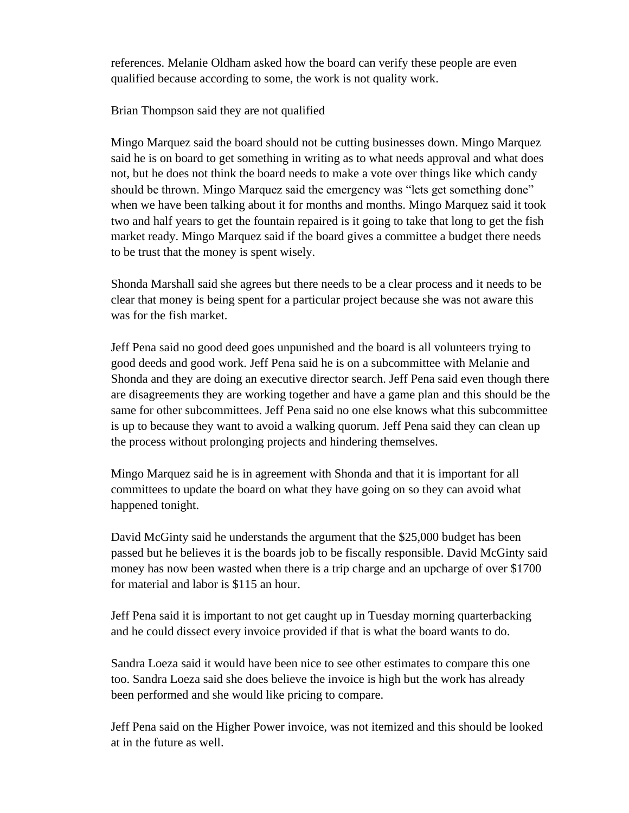references. Melanie Oldham asked how the board can verify these people are even qualified because according to some, the work is not quality work.

Brian Thompson said they are not qualified

Mingo Marquez said the board should not be cutting businesses down. Mingo Marquez said he is on board to get something in writing as to what needs approval and what does not, but he does not think the board needs to make a vote over things like which candy should be thrown. Mingo Marquez said the emergency was "lets get something done" when we have been talking about it for months and months. Mingo Marquez said it took two and half years to get the fountain repaired is it going to take that long to get the fish market ready. Mingo Marquez said if the board gives a committee a budget there needs to be trust that the money is spent wisely.

Shonda Marshall said she agrees but there needs to be a clear process and it needs to be clear that money is being spent for a particular project because she was not aware this was for the fish market.

Jeff Pena said no good deed goes unpunished and the board is all volunteers trying to good deeds and good work. Jeff Pena said he is on a subcommittee with Melanie and Shonda and they are doing an executive director search. Jeff Pena said even though there are disagreements they are working together and have a game plan and this should be the same for other subcommittees. Jeff Pena said no one else knows what this subcommittee is up to because they want to avoid a walking quorum. Jeff Pena said they can clean up the process without prolonging projects and hindering themselves.

Mingo Marquez said he is in agreement with Shonda and that it is important for all committees to update the board on what they have going on so they can avoid what happened tonight.

David McGinty said he understands the argument that the \$25,000 budget has been passed but he believes it is the boards job to be fiscally responsible. David McGinty said money has now been wasted when there is a trip charge and an upcharge of over \$1700 for material and labor is \$115 an hour.

Jeff Pena said it is important to not get caught up in Tuesday morning quarterbacking and he could dissect every invoice provided if that is what the board wants to do.

Sandra Loeza said it would have been nice to see other estimates to compare this one too. Sandra Loeza said she does believe the invoice is high but the work has already been performed and she would like pricing to compare.

Jeff Pena said on the Higher Power invoice, was not itemized and this should be looked at in the future as well.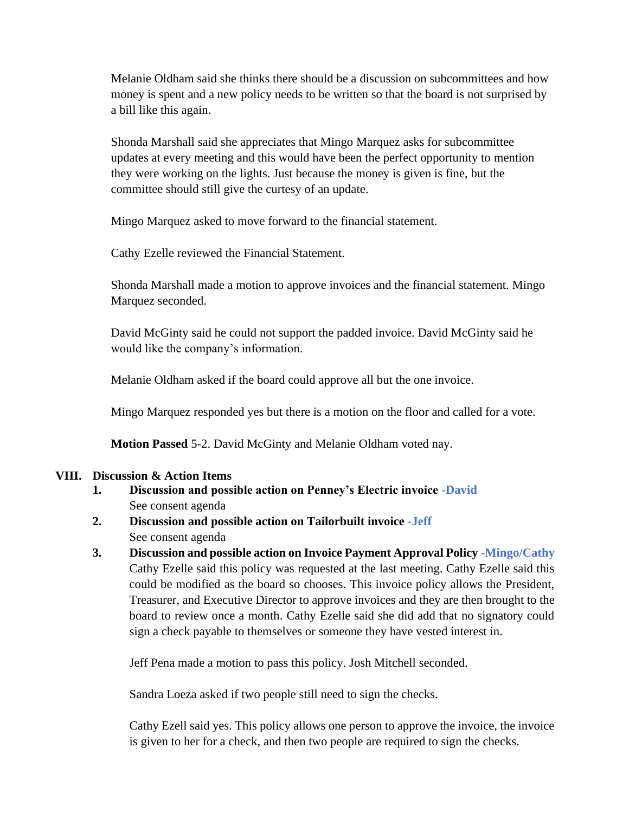Melanie Oldham said she thinks there should be a discussion on subcommittees and how money is spent and a new policy needs to be written so that the board is not surprised by a bill like this again.

Shonda Marshall said she appreciates that Mingo Marquez asks for subcommittee updates at every meeting and this would have been the perfect opportunity to mention they were working on the lights. Just because the money is given is fine, but the committee should still give the curtesy of an update.

Mingo Marquez asked to move forward to the financial statement.

Cathy Ezelle reviewed the Financial Statement.

Shonda Marshall made a motion to approve invoices and the financial statement. Mingo Marquez seconded.

David McGinty said he could not support the padded invoice. David McGinty said he would like the company's information.

Melanie Oldham asked if the board could approve all but the one invoice.

Mingo Marquez responded yes but there is a motion on the floor and called for a vote.

**Motion Passed** 5-2. David McGinty and Melanie Oldham voted nay.

### **VIII. Discussion & Action Items**

- **1. Discussion and possible action on Penney's Electric invoice -David** See consent agenda
- **2. Discussion and possible action on Tailorbuilt invoice -Jeff**  See consent agenda
- **3. Discussion and possible action on Invoice Payment Approval Policy -Mingo/Cathy** Cathy Ezelle said this policy was requested at the last meeting. Cathy Ezelle said this could be modified as the board so chooses. This invoice policy allows the President, Treasurer, and Executive Director to approve invoices and they are then brought to the board to review once a month. Cathy Ezelle said she did add that no signatory could sign a check payable to themselves or someone they have vested interest in.

Jeff Pena made a motion to pass this policy. Josh Mitchell seconded.

Sandra Loeza asked if two people still need to sign the checks.

Cathy Ezell said yes. This policy allows one person to approve the invoice, the invoice is given to her for a check, and then two people are required to sign the checks.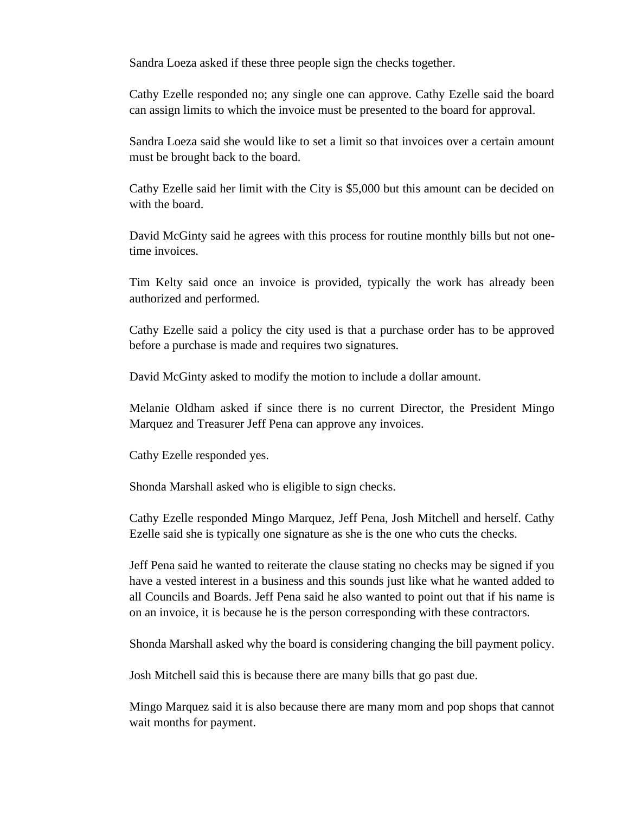Sandra Loeza asked if these three people sign the checks together.

Cathy Ezelle responded no; any single one can approve. Cathy Ezelle said the board can assign limits to which the invoice must be presented to the board for approval.

Sandra Loeza said she would like to set a limit so that invoices over a certain amount must be brought back to the board.

Cathy Ezelle said her limit with the City is \$5,000 but this amount can be decided on with the board.

David McGinty said he agrees with this process for routine monthly bills but not onetime invoices.

Tim Kelty said once an invoice is provided, typically the work has already been authorized and performed.

Cathy Ezelle said a policy the city used is that a purchase order has to be approved before a purchase is made and requires two signatures.

David McGinty asked to modify the motion to include a dollar amount.

Melanie Oldham asked if since there is no current Director, the President Mingo Marquez and Treasurer Jeff Pena can approve any invoices.

Cathy Ezelle responded yes.

Shonda Marshall asked who is eligible to sign checks.

Cathy Ezelle responded Mingo Marquez, Jeff Pena, Josh Mitchell and herself. Cathy Ezelle said she is typically one signature as she is the one who cuts the checks.

Jeff Pena said he wanted to reiterate the clause stating no checks may be signed if you have a vested interest in a business and this sounds just like what he wanted added to all Councils and Boards. Jeff Pena said he also wanted to point out that if his name is on an invoice, it is because he is the person corresponding with these contractors.

Shonda Marshall asked why the board is considering changing the bill payment policy.

Josh Mitchell said this is because there are many bills that go past due.

Mingo Marquez said it is also because there are many mom and pop shops that cannot wait months for payment.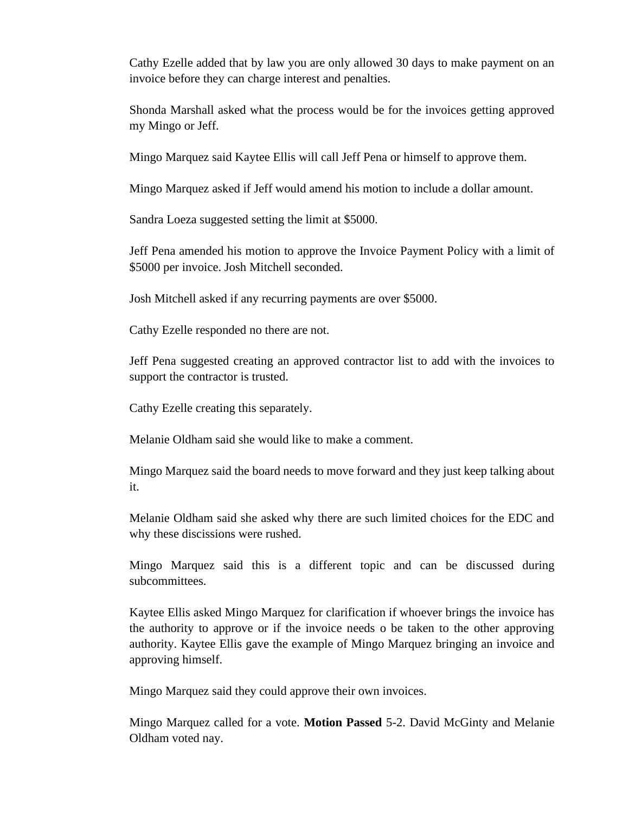Cathy Ezelle added that by law you are only allowed 30 days to make payment on an invoice before they can charge interest and penalties.

Shonda Marshall asked what the process would be for the invoices getting approved my Mingo or Jeff.

Mingo Marquez said Kaytee Ellis will call Jeff Pena or himself to approve them.

Mingo Marquez asked if Jeff would amend his motion to include a dollar amount.

Sandra Loeza suggested setting the limit at \$5000.

Jeff Pena amended his motion to approve the Invoice Payment Policy with a limit of \$5000 per invoice. Josh Mitchell seconded.

Josh Mitchell asked if any recurring payments are over \$5000.

Cathy Ezelle responded no there are not.

Jeff Pena suggested creating an approved contractor list to add with the invoices to support the contractor is trusted.

Cathy Ezelle creating this separately.

Melanie Oldham said she would like to make a comment.

Mingo Marquez said the board needs to move forward and they just keep talking about it.

Melanie Oldham said she asked why there are such limited choices for the EDC and why these discissions were rushed.

Mingo Marquez said this is a different topic and can be discussed during subcommittees.

Kaytee Ellis asked Mingo Marquez for clarification if whoever brings the invoice has the authority to approve or if the invoice needs o be taken to the other approving authority. Kaytee Ellis gave the example of Mingo Marquez bringing an invoice and approving himself.

Mingo Marquez said they could approve their own invoices.

Mingo Marquez called for a vote. **Motion Passed** 5-2. David McGinty and Melanie Oldham voted nay.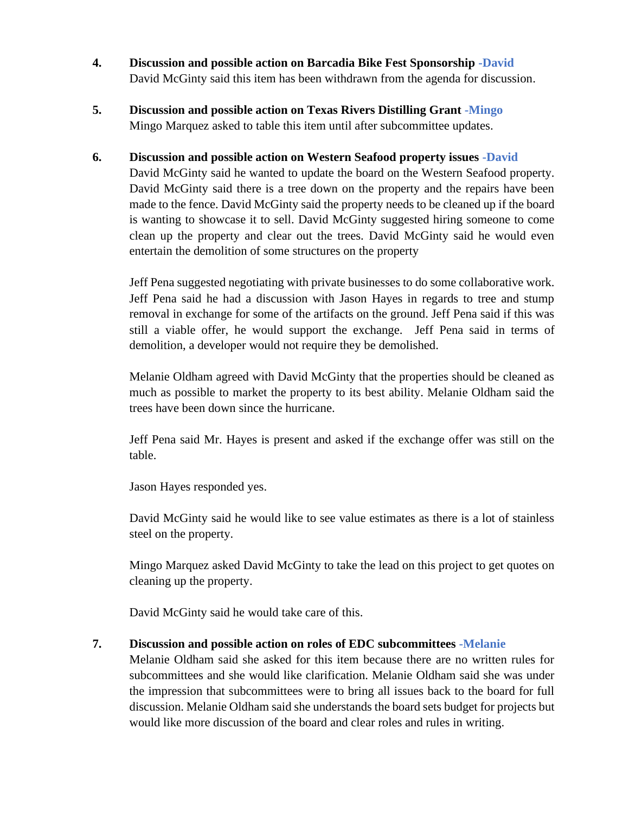- **4. Discussion and possible action on Barcadia Bike Fest Sponsorship -David** David McGinty said this item has been withdrawn from the agenda for discussion.
- **5. Discussion and possible action on Texas Rivers Distilling Grant -Mingo** Mingo Marquez asked to table this item until after subcommittee updates.

## **6. Discussion and possible action on Western Seafood property issues -David**

David McGinty said he wanted to update the board on the Western Seafood property. David McGinty said there is a tree down on the property and the repairs have been made to the fence. David McGinty said the property needs to be cleaned up if the board is wanting to showcase it to sell. David McGinty suggested hiring someone to come clean up the property and clear out the trees. David McGinty said he would even entertain the demolition of some structures on the property

Jeff Pena suggested negotiating with private businesses to do some collaborative work. Jeff Pena said he had a discussion with Jason Hayes in regards to tree and stump removal in exchange for some of the artifacts on the ground. Jeff Pena said if this was still a viable offer, he would support the exchange. Jeff Pena said in terms of demolition, a developer would not require they be demolished.

Melanie Oldham agreed with David McGinty that the properties should be cleaned as much as possible to market the property to its best ability. Melanie Oldham said the trees have been down since the hurricane.

Jeff Pena said Mr. Hayes is present and asked if the exchange offer was still on the table.

Jason Hayes responded yes.

David McGinty said he would like to see value estimates as there is a lot of stainless steel on the property.

Mingo Marquez asked David McGinty to take the lead on this project to get quotes on cleaning up the property.

David McGinty said he would take care of this.

## **7. Discussion and possible action on roles of EDC subcommittees -Melanie**

Melanie Oldham said she asked for this item because there are no written rules for subcommittees and she would like clarification. Melanie Oldham said she was under the impression that subcommittees were to bring all issues back to the board for full discussion. Melanie Oldham said she understands the board sets budget for projects but would like more discussion of the board and clear roles and rules in writing.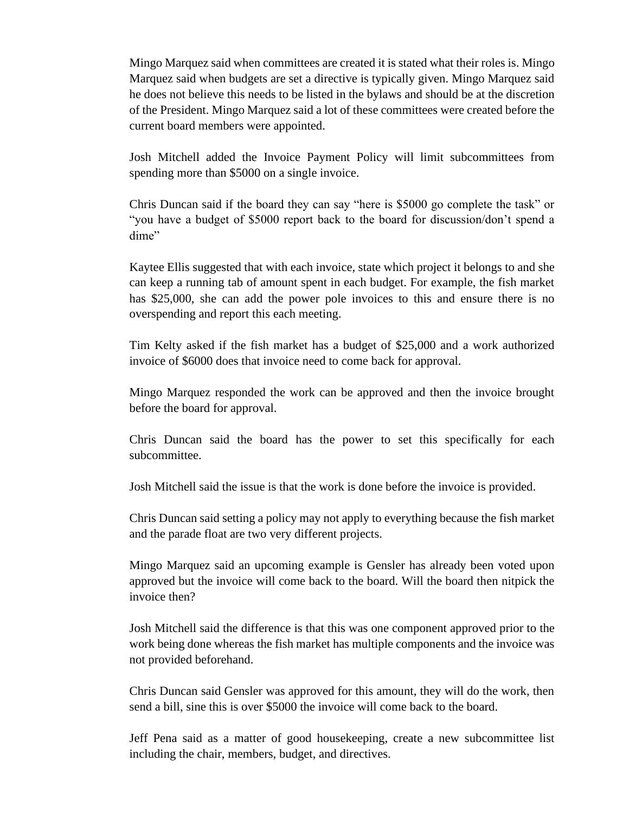Mingo Marquez said when committees are created it is stated what their roles is. Mingo Marquez said when budgets are set a directive is typically given. Mingo Marquez said he does not believe this needs to be listed in the bylaws and should be at the discretion of the President. Mingo Marquez said a lot of these committees were created before the current board members were appointed.

Josh Mitchell added the Invoice Payment Policy will limit subcommittees from spending more than \$5000 on a single invoice.

Chris Duncan said if the board they can say "here is \$5000 go complete the task" or "you have a budget of \$5000 report back to the board for discussion/don't spend a dime"

Kaytee Ellis suggested that with each invoice, state which project it belongs to and she can keep a running tab of amount spent in each budget. For example, the fish market has \$25,000, she can add the power pole invoices to this and ensure there is no overspending and report this each meeting.

Tim Kelty asked if the fish market has a budget of \$25,000 and a work authorized invoice of \$6000 does that invoice need to come back for approval.

Mingo Marquez responded the work can be approved and then the invoice brought before the board for approval.

Chris Duncan said the board has the power to set this specifically for each subcommittee.

Josh Mitchell said the issue is that the work is done before the invoice is provided.

Chris Duncan said setting a policy may not apply to everything because the fish market and the parade float are two very different projects.

Mingo Marquez said an upcoming example is Gensler has already been voted upon approved but the invoice will come back to the board. Will the board then nitpick the invoice then?

Josh Mitchell said the difference is that this was one component approved prior to the work being done whereas the fish market has multiple components and the invoice was not provided beforehand.

Chris Duncan said Gensler was approved for this amount, they will do the work, then send a bill, sine this is over \$5000 the invoice will come back to the board.

Jeff Pena said as a matter of good housekeeping, create a new subcommittee list including the chair, members, budget, and directives.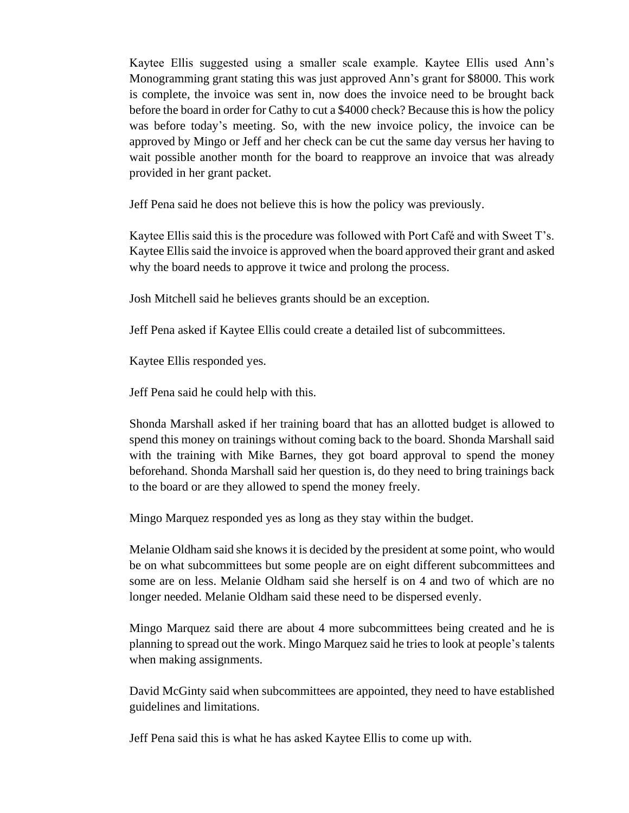Kaytee Ellis suggested using a smaller scale example. Kaytee Ellis used Ann's Monogramming grant stating this was just approved Ann's grant for \$8000. This work is complete, the invoice was sent in, now does the invoice need to be brought back before the board in order for Cathy to cut a \$4000 check? Because this is how the policy was before today's meeting. So, with the new invoice policy, the invoice can be approved by Mingo or Jeff and her check can be cut the same day versus her having to wait possible another month for the board to reapprove an invoice that was already provided in her grant packet.

Jeff Pena said he does not believe this is how the policy was previously.

Kaytee Ellis said this is the procedure was followed with Port Café and with Sweet T's. Kaytee Ellis said the invoice is approved when the board approved their grant and asked why the board needs to approve it twice and prolong the process.

Josh Mitchell said he believes grants should be an exception.

Jeff Pena asked if Kaytee Ellis could create a detailed list of subcommittees.

Kaytee Ellis responded yes.

Jeff Pena said he could help with this.

Shonda Marshall asked if her training board that has an allotted budget is allowed to spend this money on trainings without coming back to the board. Shonda Marshall said with the training with Mike Barnes, they got board approval to spend the money beforehand. Shonda Marshall said her question is, do they need to bring trainings back to the board or are they allowed to spend the money freely.

Mingo Marquez responded yes as long as they stay within the budget.

Melanie Oldham said she knows it is decided by the president at some point, who would be on what subcommittees but some people are on eight different subcommittees and some are on less. Melanie Oldham said she herself is on 4 and two of which are no longer needed. Melanie Oldham said these need to be dispersed evenly.

Mingo Marquez said there are about 4 more subcommittees being created and he is planning to spread out the work. Mingo Marquez said he tries to look at people's talents when making assignments.

David McGinty said when subcommittees are appointed, they need to have established guidelines and limitations.

Jeff Pena said this is what he has asked Kaytee Ellis to come up with.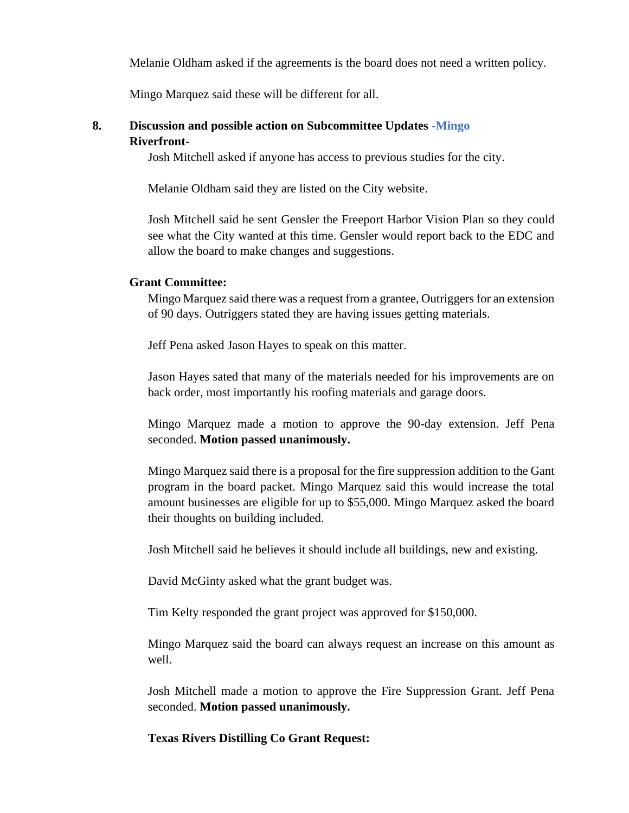Melanie Oldham asked if the agreements is the board does not need a written policy.

Mingo Marquez said these will be different for all.

## **8. Discussion and possible action on Subcommittee Updates -Mingo Riverfront-**

Josh Mitchell asked if anyone has access to previous studies for the city.

Melanie Oldham said they are listed on the City website.

Josh Mitchell said he sent Gensler the Freeport Harbor Vision Plan so they could see what the City wanted at this time. Gensler would report back to the EDC and allow the board to make changes and suggestions.

### **Grant Committee:**

Mingo Marquez said there was a request from a grantee, Outriggers for an extension of 90 days. Outriggers stated they are having issues getting materials.

Jeff Pena asked Jason Hayes to speak on this matter.

Jason Hayes sated that many of the materials needed for his improvements are on back order, most importantly his roofing materials and garage doors.

Mingo Marquez made a motion to approve the 90-day extension. Jeff Pena seconded. **Motion passed unanimously.**

Mingo Marquez said there is a proposal for the fire suppression addition to the Gant program in the board packet. Mingo Marquez said this would increase the total amount businesses are eligible for up to \$55,000. Mingo Marquez asked the board their thoughts on building included.

Josh Mitchell said he believes it should include all buildings, new and existing.

David McGinty asked what the grant budget was.

Tim Kelty responded the grant project was approved for \$150,000.

Mingo Marquez said the board can always request an increase on this amount as well.

Josh Mitchell made a motion to approve the Fire Suppression Grant. Jeff Pena seconded. **Motion passed unanimously.**

**Texas Rivers Distilling Co Grant Request:**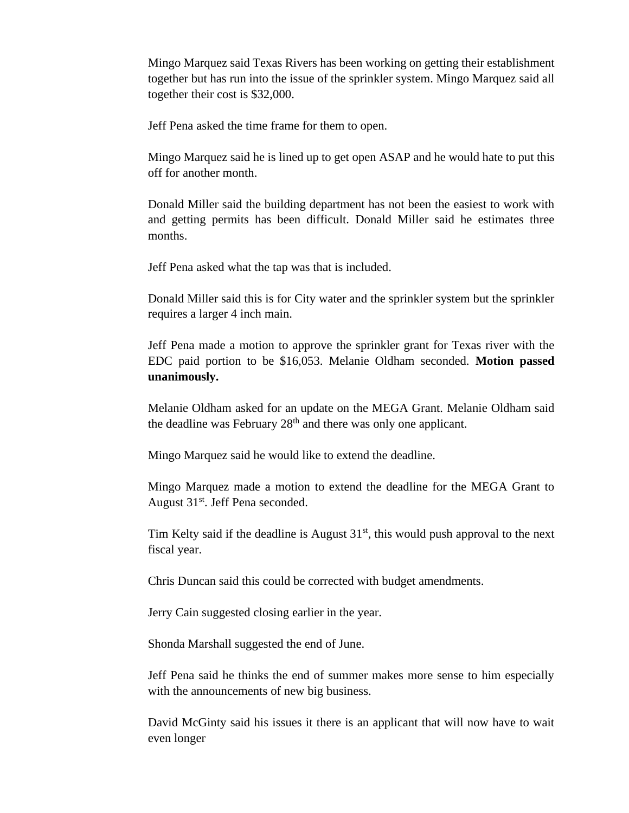Mingo Marquez said Texas Rivers has been working on getting their establishment together but has run into the issue of the sprinkler system. Mingo Marquez said all together their cost is \$32,000.

Jeff Pena asked the time frame for them to open.

Mingo Marquez said he is lined up to get open ASAP and he would hate to put this off for another month.

Donald Miller said the building department has not been the easiest to work with and getting permits has been difficult. Donald Miller said he estimates three months.

Jeff Pena asked what the tap was that is included.

Donald Miller said this is for City water and the sprinkler system but the sprinkler requires a larger 4 inch main.

Jeff Pena made a motion to approve the sprinkler grant for Texas river with the EDC paid portion to be \$16,053. Melanie Oldham seconded. **Motion passed unanimously.**

Melanie Oldham asked for an update on the MEGA Grant. Melanie Oldham said the deadline was February  $28<sup>th</sup>$  and there was only one applicant.

Mingo Marquez said he would like to extend the deadline.

Mingo Marquez made a motion to extend the deadline for the MEGA Grant to August  $31<sup>st</sup>$ . Jeff Pena seconded.

Tim Kelty said if the deadline is August  $31<sup>st</sup>$ , this would push approval to the next fiscal year.

Chris Duncan said this could be corrected with budget amendments.

Jerry Cain suggested closing earlier in the year.

Shonda Marshall suggested the end of June.

Jeff Pena said he thinks the end of summer makes more sense to him especially with the announcements of new big business.

David McGinty said his issues it there is an applicant that will now have to wait even longer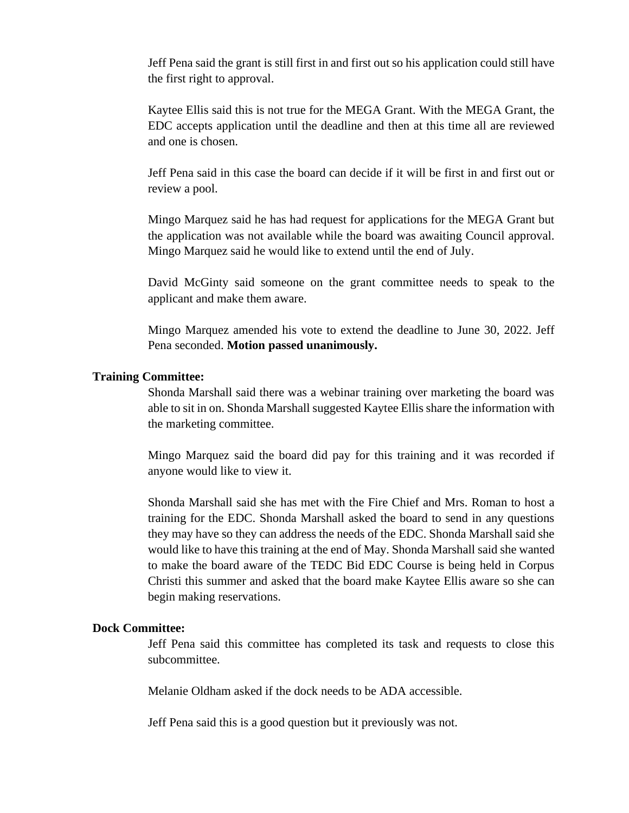Jeff Pena said the grant is still first in and first out so his application could still have the first right to approval.

Kaytee Ellis said this is not true for the MEGA Grant. With the MEGA Grant, the EDC accepts application until the deadline and then at this time all are reviewed and one is chosen.

Jeff Pena said in this case the board can decide if it will be first in and first out or review a pool.

Mingo Marquez said he has had request for applications for the MEGA Grant but the application was not available while the board was awaiting Council approval. Mingo Marquez said he would like to extend until the end of July.

David McGinty said someone on the grant committee needs to speak to the applicant and make them aware.

Mingo Marquez amended his vote to extend the deadline to June 30, 2022. Jeff Pena seconded. **Motion passed unanimously.**

#### **Training Committee:**

Shonda Marshall said there was a webinar training over marketing the board was able to sit in on. Shonda Marshall suggested Kaytee Ellis share the information with the marketing committee.

Mingo Marquez said the board did pay for this training and it was recorded if anyone would like to view it.

Shonda Marshall said she has met with the Fire Chief and Mrs. Roman to host a training for the EDC. Shonda Marshall asked the board to send in any questions they may have so they can address the needs of the EDC. Shonda Marshall said she would like to have this training at the end of May. Shonda Marshall said she wanted to make the board aware of the TEDC Bid EDC Course is being held in Corpus Christi this summer and asked that the board make Kaytee Ellis aware so she can begin making reservations.

### **Dock Committee:**

Jeff Pena said this committee has completed its task and requests to close this subcommittee.

Melanie Oldham asked if the dock needs to be ADA accessible.

Jeff Pena said this is a good question but it previously was not.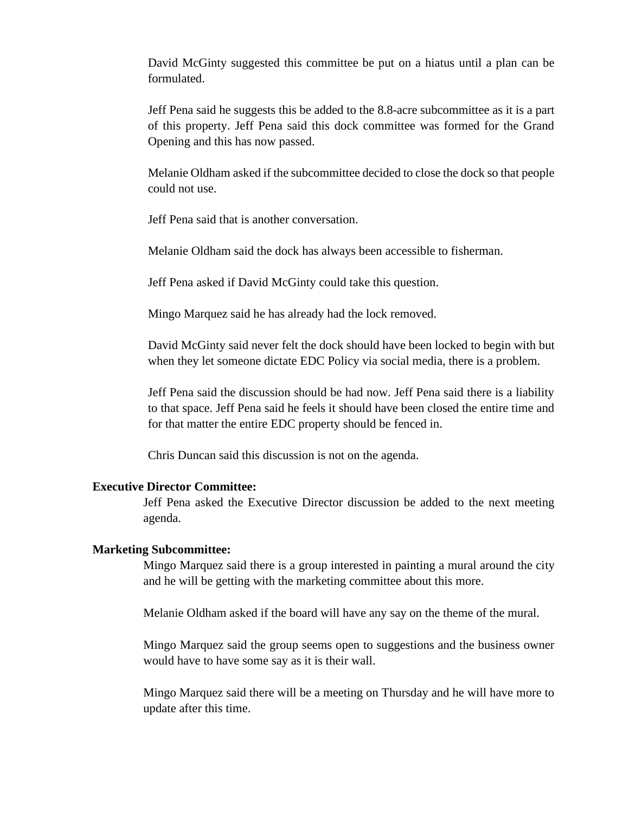David McGinty suggested this committee be put on a hiatus until a plan can be formulated.

Jeff Pena said he suggests this be added to the 8.8-acre subcommittee as it is a part of this property. Jeff Pena said this dock committee was formed for the Grand Opening and this has now passed.

Melanie Oldham asked if the subcommittee decided to close the dock so that people could not use.

Jeff Pena said that is another conversation.

Melanie Oldham said the dock has always been accessible to fisherman.

Jeff Pena asked if David McGinty could take this question.

Mingo Marquez said he has already had the lock removed.

David McGinty said never felt the dock should have been locked to begin with but when they let someone dictate EDC Policy via social media, there is a problem.

Jeff Pena said the discussion should be had now. Jeff Pena said there is a liability to that space. Jeff Pena said he feels it should have been closed the entire time and for that matter the entire EDC property should be fenced in.

Chris Duncan said this discussion is not on the agenda.

#### **Executive Director Committee:**

Jeff Pena asked the Executive Director discussion be added to the next meeting agenda.

#### **Marketing Subcommittee:**

Mingo Marquez said there is a group interested in painting a mural around the city and he will be getting with the marketing committee about this more.

Melanie Oldham asked if the board will have any say on the theme of the mural.

Mingo Marquez said the group seems open to suggestions and the business owner would have to have some say as it is their wall.

Mingo Marquez said there will be a meeting on Thursday and he will have more to update after this time.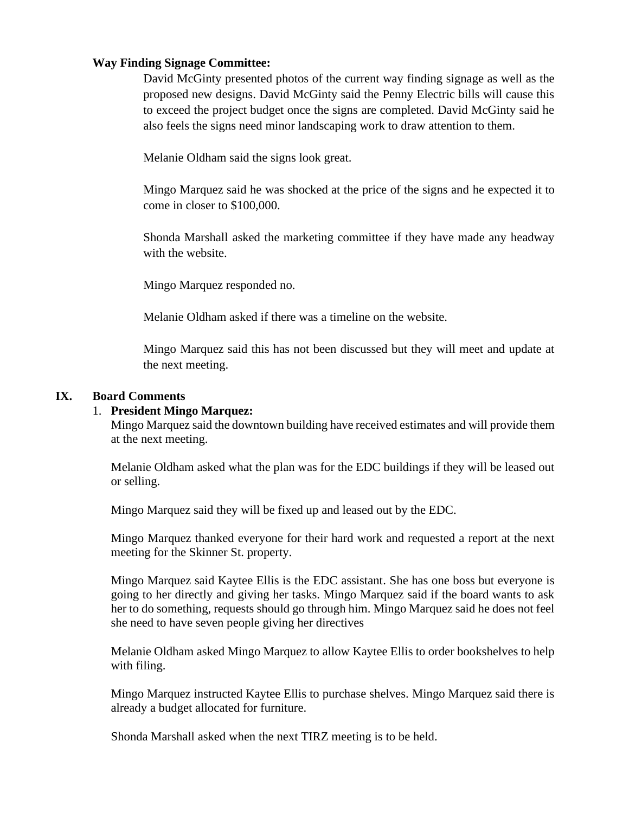### **Way Finding Signage Committee:**

David McGinty presented photos of the current way finding signage as well as the proposed new designs. David McGinty said the Penny Electric bills will cause this to exceed the project budget once the signs are completed. David McGinty said he also feels the signs need minor landscaping work to draw attention to them.

Melanie Oldham said the signs look great.

Mingo Marquez said he was shocked at the price of the signs and he expected it to come in closer to \$100,000.

Shonda Marshall asked the marketing committee if they have made any headway with the website.

Mingo Marquez responded no.

Melanie Oldham asked if there was a timeline on the website.

Mingo Marquez said this has not been discussed but they will meet and update at the next meeting.

### **IX. Board Comments**

### 1. **President Mingo Marquez:**

Mingo Marquez said the downtown building have received estimates and will provide them at the next meeting.

Melanie Oldham asked what the plan was for the EDC buildings if they will be leased out or selling.

Mingo Marquez said they will be fixed up and leased out by the EDC.

Mingo Marquez thanked everyone for their hard work and requested a report at the next meeting for the Skinner St. property.

Mingo Marquez said Kaytee Ellis is the EDC assistant. She has one boss but everyone is going to her directly and giving her tasks. Mingo Marquez said if the board wants to ask her to do something, requests should go through him. Mingo Marquez said he does not feel she need to have seven people giving her directives

Melanie Oldham asked Mingo Marquez to allow Kaytee Ellis to order bookshelves to help with filing.

Mingo Marquez instructed Kaytee Ellis to purchase shelves. Mingo Marquez said there is already a budget allocated for furniture.

Shonda Marshall asked when the next TIRZ meeting is to be held.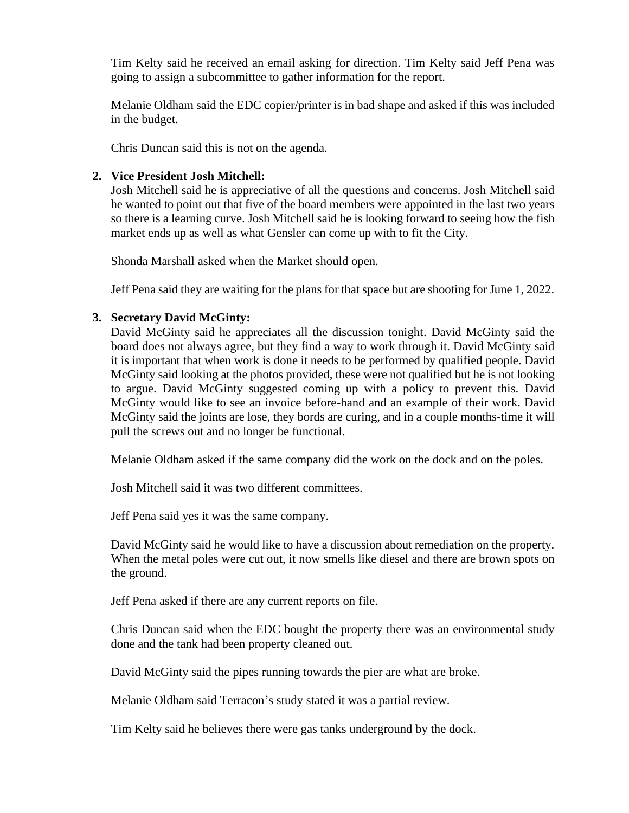Tim Kelty said he received an email asking for direction. Tim Kelty said Jeff Pena was going to assign a subcommittee to gather information for the report.

Melanie Oldham said the EDC copier/printer is in bad shape and asked if this was included in the budget.

Chris Duncan said this is not on the agenda.

### **2. Vice President Josh Mitchell:**

Josh Mitchell said he is appreciative of all the questions and concerns. Josh Mitchell said he wanted to point out that five of the board members were appointed in the last two years so there is a learning curve. Josh Mitchell said he is looking forward to seeing how the fish market ends up as well as what Gensler can come up with to fit the City.

Shonda Marshall asked when the Market should open.

Jeff Pena said they are waiting for the plans for that space but are shooting for June 1, 2022.

### **3. Secretary David McGinty:**

David McGinty said he appreciates all the discussion tonight. David McGinty said the board does not always agree, but they find a way to work through it. David McGinty said it is important that when work is done it needs to be performed by qualified people. David McGinty said looking at the photos provided, these were not qualified but he is not looking to argue. David McGinty suggested coming up with a policy to prevent this. David McGinty would like to see an invoice before-hand and an example of their work. David McGinty said the joints are lose, they bords are curing, and in a couple months-time it will pull the screws out and no longer be functional.

Melanie Oldham asked if the same company did the work on the dock and on the poles.

Josh Mitchell said it was two different committees.

Jeff Pena said yes it was the same company.

David McGinty said he would like to have a discussion about remediation on the property. When the metal poles were cut out, it now smells like diesel and there are brown spots on the ground.

Jeff Pena asked if there are any current reports on file.

Chris Duncan said when the EDC bought the property there was an environmental study done and the tank had been property cleaned out.

David McGinty said the pipes running towards the pier are what are broke.

Melanie Oldham said Terracon's study stated it was a partial review.

Tim Kelty said he believes there were gas tanks underground by the dock.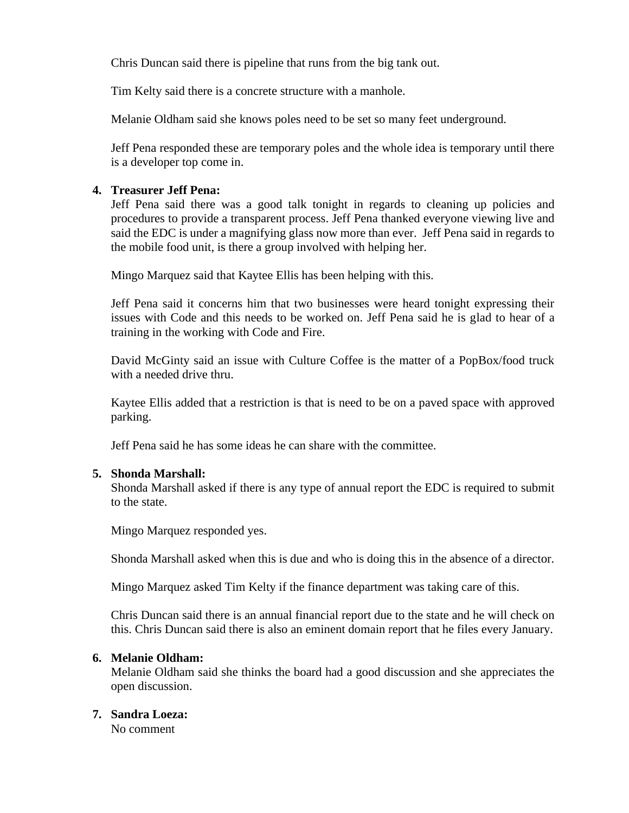Chris Duncan said there is pipeline that runs from the big tank out.

Tim Kelty said there is a concrete structure with a manhole.

Melanie Oldham said she knows poles need to be set so many feet underground.

Jeff Pena responded these are temporary poles and the whole idea is temporary until there is a developer top come in.

### **4. Treasurer Jeff Pena:**

Jeff Pena said there was a good talk tonight in regards to cleaning up policies and procedures to provide a transparent process. Jeff Pena thanked everyone viewing live and said the EDC is under a magnifying glass now more than ever. Jeff Pena said in regards to the mobile food unit, is there a group involved with helping her.

Mingo Marquez said that Kaytee Ellis has been helping with this.

Jeff Pena said it concerns him that two businesses were heard tonight expressing their issues with Code and this needs to be worked on. Jeff Pena said he is glad to hear of a training in the working with Code and Fire.

David McGinty said an issue with Culture Coffee is the matter of a PopBox/food truck with a needed drive thru.

Kaytee Ellis added that a restriction is that is need to be on a paved space with approved parking.

Jeff Pena said he has some ideas he can share with the committee.

## **5. Shonda Marshall:**

Shonda Marshall asked if there is any type of annual report the EDC is required to submit to the state.

Mingo Marquez responded yes.

Shonda Marshall asked when this is due and who is doing this in the absence of a director.

Mingo Marquez asked Tim Kelty if the finance department was taking care of this.

Chris Duncan said there is an annual financial report due to the state and he will check on this. Chris Duncan said there is also an eminent domain report that he files every January.

## **6. Melanie Oldham:**

Melanie Oldham said she thinks the board had a good discussion and she appreciates the open discussion.

### **7. Sandra Loeza:**

No comment